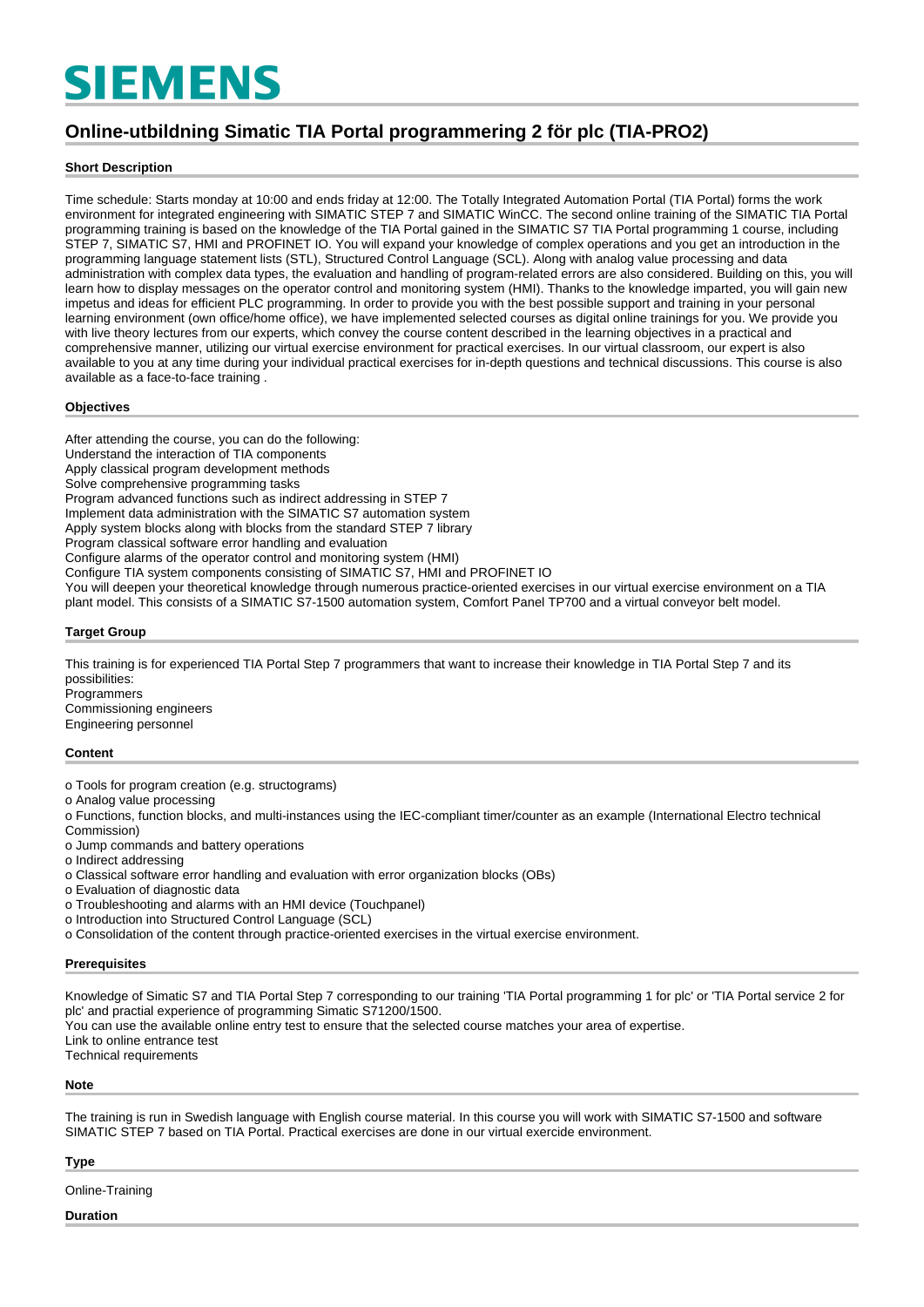# **SIEMENS**

# **Online-utbildning Simatic TIA Portal programmering 2 för plc (TIA-PRO2)**

#### **Short Description**

Time schedule: Starts monday at 10:00 and ends friday at 12:00. The Totally Integrated Automation Portal (TIA Portal) forms the work environment for integrated engineering with SIMATIC STEP 7 and SIMATIC WinCC. The second online training of the SIMATIC TIA Portal programming training is based on the knowledge of the TIA Portal gained in the SIMATIC S7 TIA Portal programming 1 course, including STEP 7, SIMATIC S7, HMI and PROFINET IO. You will expand your knowledge of complex operations and you get an introduction in the programming language statement lists (STL), Structured Control Language (SCL). Along with analog value processing and data administration with complex data types, the evaluation and handling of program-related errors are also considered. Building on this, you will learn how to display messages on the operator control and monitoring system (HMI). Thanks to the knowledge imparted, you will gain new impetus and ideas for efficient PLC programming. In order to provide you with the best possible support and training in your personal learning environment (own office/home office), we have implemented selected courses as digital online trainings for you. We provide you with live theory lectures from our experts, which convey the course content described in the learning objectives in a practical and comprehensive manner, utilizing our virtual exercise environment for practical exercises. In our virtual classroom, our expert is also available to you at any time during your individual practical exercises for in-depth questions and technical discussions. This course is also available as a face-to-face training .

#### **Objectives**

After attending the course, you can do the following: Understand the interaction of TIA components Apply classical program development methods Solve comprehensive programming tasks Program advanced functions such as indirect addressing in STEP 7 Implement data administration with the SIMATIC S7 automation system Apply system blocks along with blocks from the standard STEP 7 library Program classical software error handling and evaluation Configure alarms of the operator control and monitoring system (HMI) Configure TIA system components consisting of SIMATIC S7, HMI and PROFINET IO You will deepen your theoretical knowledge through numerous practice-oriented exercises in our virtual exercise environment on a TIA

plant model. This consists of a SIMATIC S7-1500 automation system, Comfort Panel TP700 and a virtual conveyor belt model.

#### **Target Group**

This training is for experienced TIA Portal Step 7 programmers that want to increase their knowledge in TIA Portal Step 7 and its possibilities: **Programmers** Commissioning engineers

Engineering personnel

#### **Content**

o Tools for program creation (e.g. structograms)

o Analog value processing

o Functions, function blocks, and multi-instances using the IEC-compliant timer/counter as an example (International Electro technical Commission)

o Jump commands and battery operations

o Indirect addressing

o Classical software error handling and evaluation with error organization blocks (OBs)

o Evaluation of diagnostic data

o Troubleshooting and alarms with an HMI device (Touchpanel)

o Introduction into Structured Control Language (SCL)

o Consolidation of the content through practice-oriented exercises in the virtual exercise environment.

#### **Prerequisites**

Knowledge of Simatic S7 and TIA Portal Step 7 corresponding to our training 'TIA Portal programming 1 for plc' or 'TIA Portal service 2 for plc' and practial experience of programming Simatic S71200/1500.

You can use the available online entry test to ensure that the selected course matches your area of expertise.

Link to online entrance test

Technical requirements

#### **Note**

The training is run in Swedish language with English course material. In this course you will work with SIMATIC S7-1500 and software SIMATIC STEP 7 based on TIA Portal. Practical exercises are done in our virtual exercide environment.

#### **Type**

Online-Training

#### **Duration**